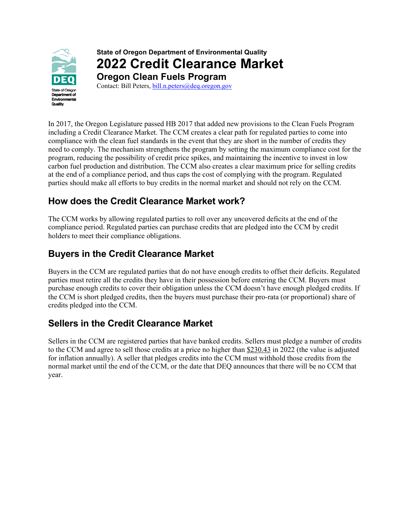

# **State of Oregon Department of Environmental Quality 2022 Credit Clearance Market**

**Oregon Clean Fuels Program**  Contact: Bill Peters, [bill.n.peters@deq.oregon.gov](mailto:bill.n.peters@deq.oregon.gov)

In 2017, the Oregon Legislature passed HB 2017 that added new provisions to the Clean Fuels Program including a Credit Clearance Market. The CCM creates a clear path for regulated parties to come into compliance with the clean fuel standards in the event that they are short in the number of credits they need to comply. The mechanism strengthens the program by setting the maximum compliance cost for the program, reducing the possibility of credit price spikes, and maintaining the incentive to invest in low carbon fuel production and distribution. The CCM also creates a clear maximum price for selling credits at the end of a compliance period, and thus caps the cost of complying with the program. Regulated parties should make all efforts to buy credits in the normal market and should not rely on the CCM.

## **How does the Credit Clearance Market work?**

The CCM works by allowing regulated parties to roll over any uncovered deficits at the end of the compliance period. Regulated parties can purchase credits that are pledged into the CCM by credit holders to meet their compliance obligations.

## **Buyers in the Credit Clearance Market**

Buyers in the CCM are regulated parties that do not have enough credits to offset their deficits. Regulated parties must retire all the credits they have in their possession before entering the CCM. Buyers must purchase enough credits to cover their obligation unless the CCM doesn't have enough pledged credits. If the CCM is short pledged credits, then the buyers must purchase their pro-rata (or proportional) share of credits pledged into the CCM.

#### **Sellers in the Credit Clearance Market**

Sellers in the CCM are registered parties that have banked credits. Sellers must pledge a number of credits to the CCM and agree to sell those credits at a price no higher than \$230.43 in 2022 (the value is adjusted for inflation annually). A seller that pledges credits into the CCM must withhold those credits from the normal market until the end of the CCM, or the date that DEQ announces that there will be no CCM that year.